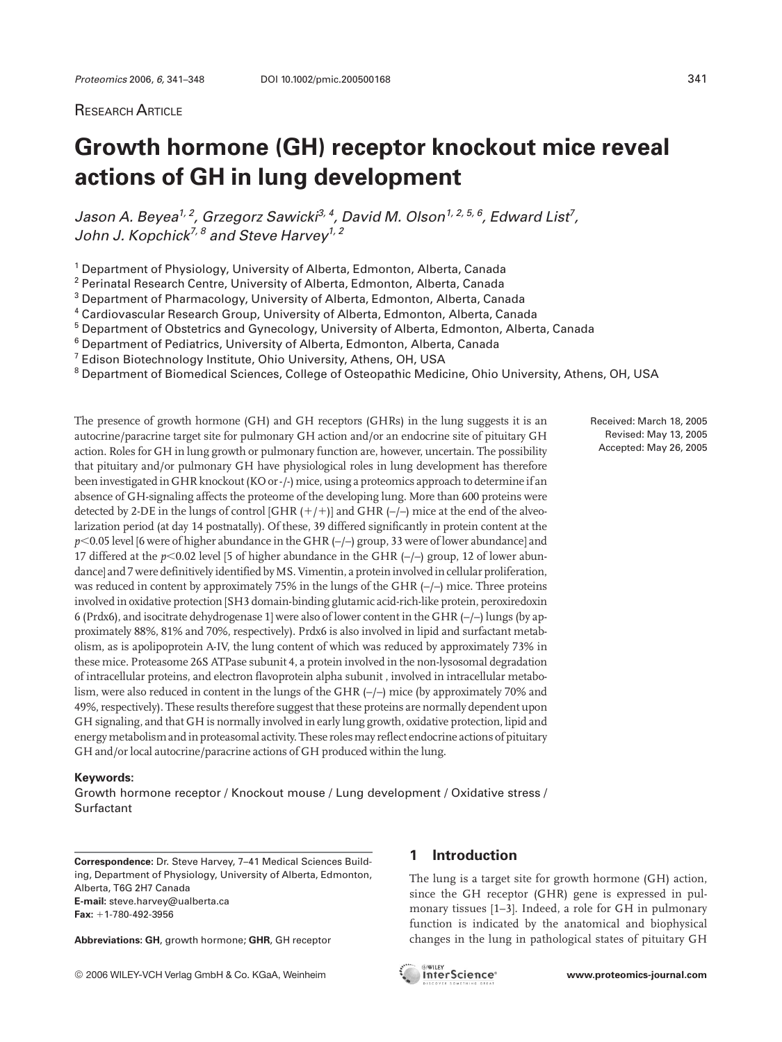## RESEARCH ARTICLE

# **Growth hormone (GH) receptor knockout mice reveal actions of GH in lung development**

Jason A. Beyea<sup>1, 2</sup>, Grzegorz Sawicki<sup>3, 4</sup>, David M. Olson<sup>1, 2, 5, 6</sup>, Edward List<sup>7</sup>, John J. Kopchick<sup>7, 8</sup> and Steve Harvey<sup>1, 2</sup>

<sup>1</sup> Department of Physiology, University of Alberta, Edmonton, Alberta, Canada

<sup>2</sup> Perinatal Research Centre, University of Alberta, Edmonton, Alberta, Canada

<sup>3</sup> Department of Pharmacology, University of Alberta, Edmonton, Alberta, Canada

<sup>4</sup> Cardiovascular Research Group, University of Alberta, Edmonton, Alberta, Canada

<sup>5</sup> Department of Obstetrics and Gynecology, University of Alberta, Edmonton, Alberta, Canada

<sup>6</sup> Department of Pediatrics, University of Alberta, Edmonton, Alberta, Canada

<sup>7</sup> Edison Biotechnology Institute, Ohio University, Athens, OH, USA

<sup>8</sup> Department of Biomedical Sciences, College of Osteopathic Medicine, Ohio University, Athens, OH, USA

The presence of growth hormone (GH) and GH receptors (GHRs) in the lung suggests it is an autocrine/paracrine target site for pulmonary GH action and/or an endocrine site of pituitary GH action. Roles for GH in lung growth or pulmonary function are, however, uncertain. The possibility that pituitary and/or pulmonary GH have physiological roles in lung development has therefore been investigated in GHR knockout (KO or-/-) mice, using a proteomics approach to determine if an absence of GH-signaling affects the proteome of the developing lung. More than 600 proteins were detected by 2-DE in the lungs of control [GHR  $(+/+)$ ] and GHR  $(-/-)$  mice at the end of the alveolarization period (at day 14 postnatally). Of these, 39 differed significantly in protein content at the p<0.05 level [6 were of higher abundance in the GHR  $(-/-)$  group, 33 were of lower abundance] and 17 differed at the  $p$ <0.02 level [5 of higher abundance in the GHR  $(-/-)$  group, 12 of lower abundance] and 7 were definitively identified by MS. Vimentin, a protein involved in cellular proliferation, was reduced in content by approximately 75% in the lungs of the GHR (-/-) mice. Three proteins involved in oxidative protection [SH3 domain-binding glutamic acid-rich-like protein, peroxiredoxin 6 (Prdx6), and isocitrate dehydrogenase 1] were also of lower content in the GHR (–/–) lungs (by approximately 88%, 81% and 70%, respectively). Prdx6 is also involved in lipid and surfactant metabolism, as is apolipoprotein A-IV, the lung content of which was reduced by approximately 73% in these mice. Proteasome 26S ATPase subunit 4, a protein involved in the non-lysosomal degradation of intracellular proteins, and electron flavoprotein alpha subunit , involved in intracellular metabolism, were also reduced in content in the lungs of the GHR (–/–) mice (by approximately 70% and 49%, respectively). These results therefore suggest that these proteins are normally dependent upon GH signaling, and that GH is normally involved in early lung growth, oxidative protection, lipid and energy metabolism and in proteasomal activity. These rolesmay reflect endocrine actions of pituitary GH and/or local autocrine/paracrine actions of GH produced within the lung.

#### **Keywords:**

Growth hormone receptor / Knockout mouse / Lung development / Oxidative stress / Surfactant

**Correspondence:** Dr. Steve Harvey, 7–41 Medical Sciences Building, Department of Physiology, University of Alberta, Edmonton, Alberta, T6G 2H7 Canada **E-mail:** steve.harvey@ualberta.ca **Fax:** +1-780-492-3956

**Abbreviations: GH**, growth hormone; **GHR**, GH receptor

# **1 Introduction**

The lung is a target site for growth hormone (GH) action, since the GH receptor (GHR) gene is expressed in pulmonary tissues [1–3]. Indeed, a role for GH in pulmonary function is indicated by the anatomical and biophysical changes in the lung in pathological states of pituitary GH

Received: March 18, 2005 Revised: May 13, 2005 Accepted: May 26, 2005

2006 WILEY-VCH Verlag GmbH & Co. KGaA, Weinheim **www.proteomics-journal.com**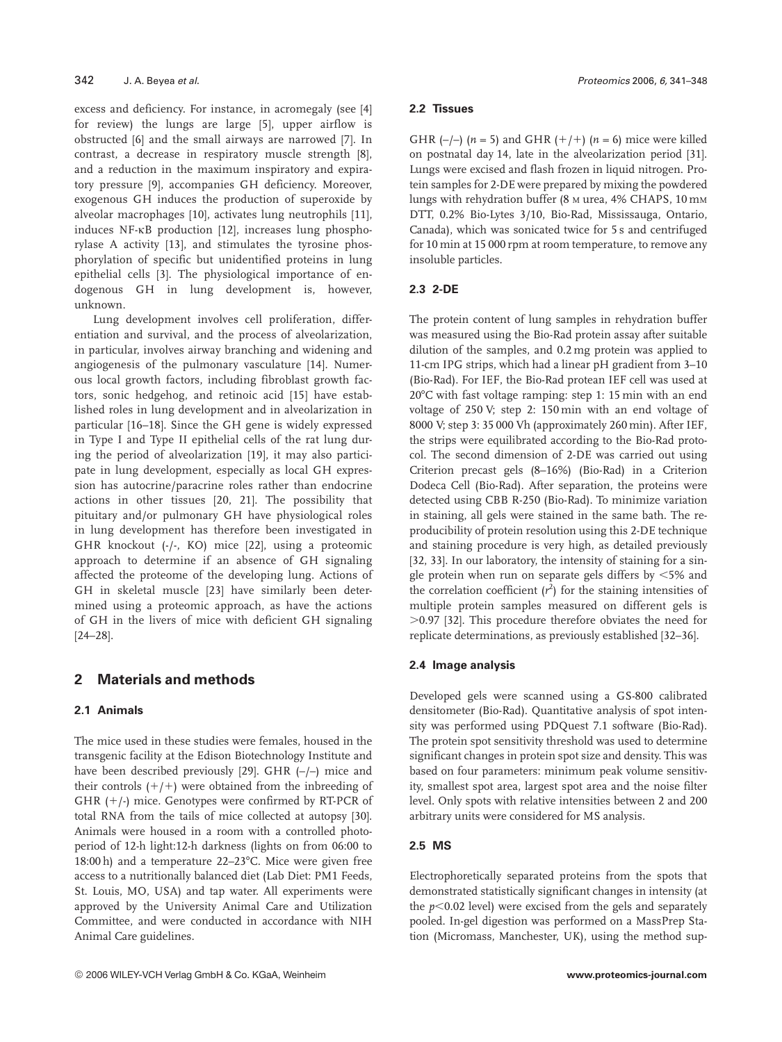excess and deficiency. For instance, in acromegaly (see [4] for review) the lungs are large [5], upper airflow is obstructed [6] and the small airways are narrowed [7]. In contrast, a decrease in respiratory muscle strength [8], and a reduction in the maximum inspiratory and expiratory pressure [9], accompanies GH deficiency. Moreover, exogenous GH induces the production of superoxide by alveolar macrophages [10], activates lung neutrophils [11], induces NF-kB production [12], increases lung phosphorylase A activity [13], and stimulates the tyrosine phosphorylation of specific but unidentified proteins in lung epithelial cells [3]. The physiological importance of endogenous GH in lung development is, however, unknown.

Lung development involves cell proliferation, differentiation and survival, and the process of alveolarization, in particular, involves airway branching and widening and angiogenesis of the pulmonary vasculature [14]. Numerous local growth factors, including fibroblast growth factors, sonic hedgehog, and retinoic acid [15] have established roles in lung development and in alveolarization in particular [16–18]. Since the GH gene is widely expressed in Type I and Type II epithelial cells of the rat lung during the period of alveolarization [19], it may also participate in lung development, especially as local GH expression has autocrine/paracrine roles rather than endocrine actions in other tissues [20, 21]. The possibility that pituitary and/or pulmonary GH have physiological roles in lung development has therefore been investigated in GHR knockout (-/-, KO) mice [22], using a proteomic approach to determine if an absence of GH signaling affected the proteome of the developing lung. Actions of GH in skeletal muscle [23] have similarly been determined using a proteomic approach, as have the actions of GH in the livers of mice with deficient GH signaling [24–28].

# **2 Materials and methods**

## **2.1 Animals**

The mice used in these studies were females, housed in the transgenic facility at the Edison Biotechnology Institute and have been described previously [29]. GHR (–/–) mice and their controls  $(+/+)$  were obtained from the inbreeding of GHR  $(+/-)$  mice. Genotypes were confirmed by RT-PCR of total RNA from the tails of mice collected at autopsy [30]. Animals were housed in a room with a controlled photoperiod of 12-h light:12-h darkness (lights on from 06:00 to 18:00 h) and a temperature  $22-23$ °C. Mice were given free access to a nutritionally balanced diet (Lab Diet: PM1 Feeds, St. Louis, MO, USA) and tap water. All experiments were approved by the University Animal Care and Utilization Committee, and were conducted in accordance with NIH Animal Care guidelines.

#### **2.2 Tissues**

GHR  $(-/-)$  ( $n = 5$ ) and GHR  $(+/+)$  ( $n = 6$ ) mice were killed on postnatal day 14, late in the alveolarization period [31]. Lungs were excised and flash frozen in liquid nitrogen. Protein samples for 2-DE were prepared by mixing the powdered lungs with rehydration buffer (8 M urea, 4% CHAPS, 10 mM DTT, 0.2% Bio-Lytes 3/10, Bio-Rad, Mississauga, Ontario, Canada), which was sonicated twice for 5 s and centrifuged for 10 min at 15 000 rpm at room temperature, to remove any insoluble particles.

#### **2.3 2-DE**

The protein content of lung samples in rehydration buffer was measured using the Bio-Rad protein assay after suitable dilution of the samples, and 0.2 mg protein was applied to 11-cm IPG strips, which had a linear pH gradient from 3–10 (Bio-Rad). For IEF, the Bio-Rad protean IEF cell was used at 207C with fast voltage ramping: step 1: 15 min with an end voltage of 250 V; step 2: 150 min with an end voltage of 8000 V; step 3: 35 000 Vh (approximately 260 min). After IEF, the strips were equilibrated according to the Bio-Rad protocol. The second dimension of 2-DE was carried out using Criterion precast gels (8–16%) (Bio-Rad) in a Criterion Dodeca Cell (Bio-Rad). After separation, the proteins were detected using CBB R-250 (Bio-Rad). To minimize variation in staining, all gels were stained in the same bath. The reproducibility of protein resolution using this 2-DE technique and staining procedure is very high, as detailed previously [32, 33]. In our laboratory, the intensity of staining for a single protein when run on separate gels differs by  $<$  5% and the correlation coefficient  $(r^2)$  for the staining intensities of multiple protein samples measured on different gels is .0.97 [32]. This procedure therefore obviates the need for replicate determinations, as previously established [32–36].

## **2.4 Image analysis**

Developed gels were scanned using a GS-800 calibrated densitometer (Bio-Rad). Quantitative analysis of spot intensity was performed using PDQuest 7.1 software (Bio-Rad). The protein spot sensitivity threshold was used to determine significant changes in protein spot size and density. This was based on four parameters: minimum peak volume sensitivity, smallest spot area, largest spot area and the noise filter level. Only spots with relative intensities between 2 and 200 arbitrary units were considered for MS analysis.

## **2.5 MS**

Electrophoretically separated proteins from the spots that demonstrated statistically significant changes in intensity (at the  $p<0.02$  level) were excised from the gels and separately pooled. In-gel digestion was performed on a MassPrep Station (Micromass, Manchester, UK), using the method sup-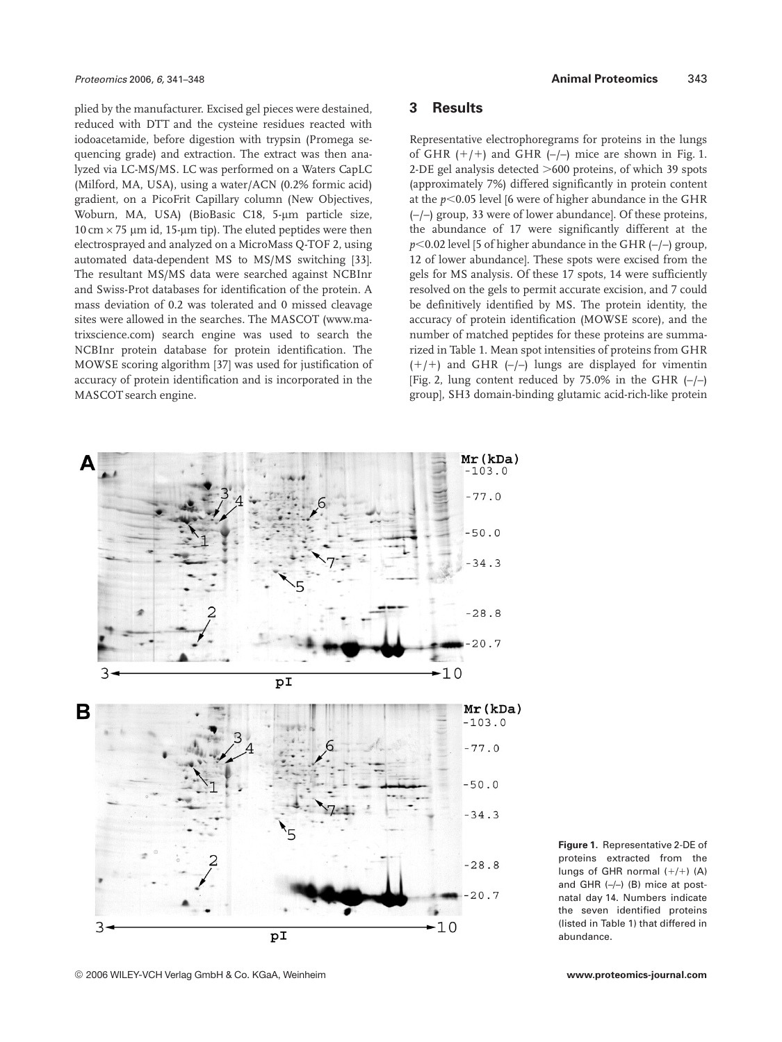plied by the manufacturer. Excised gel pieces were destained, reduced with DTT and the cysteine residues reacted with iodoacetamide, before digestion with trypsin (Promega sequencing grade) and extraction. The extract was then analyzed via LC-MS/MS. LC was performed on a Waters CapLC (Milford, MA, USA), using a water/ACN (0.2% formic acid) gradient, on a PicoFrit Capillary column (New Objectives, Woburn, MA, USA) (BioBasic C18, 5-um particle size,  $10 \text{ cm} \times 75 \text{ }\mu\text{m}$  id, 15- $\mu$ m tip). The eluted peptides were then electrosprayed and analyzed on a MicroMass Q-TOF 2, using automated data-dependent MS to MS/MS switching [33]. The resultant MS/MS data were searched against NCBInr and Swiss-Prot databases for identification of the protein. A mass deviation of 0.2 was tolerated and 0 missed cleavage sites were allowed in the searches. The MASCOT (www.matrixscience.com) search engine was used to search the NCBInr protein database for protein identification. The MOWSE scoring algorithm [37] was used for justification of accuracy of protein identification and is incorporated in the MASCOT search engine.

#### **3 Results**

Representative electrophoregrams for proteins in the lungs of GHR  $(+/+)$  and GHR  $(-/-)$  mice are shown in Fig. 1. 2-DE gel analysis detected  $>600$  proteins, of which 39 spots (approximately 7%) differed significantly in protein content at the  $p$ <0.05 level [6 were of higher abundance in the GHR (–/–) group, 33 were of lower abundance]. Of these proteins, the abundance of 17 were significantly different at the  $p$ <0.02 level [5 of higher abundance in the GHR  $(-/-)$  group, 12 of lower abundance]. These spots were excised from the gels for MS analysis. Of these 17 spots, 14 were sufficiently resolved on the gels to permit accurate excision, and 7 could be definitively identified by MS. The protein identity, the accuracy of protein identification (MOWSE score), and the number of matched peptides for these proteins are summarized in Table 1. Mean spot intensities of proteins from GHR  $(+/+)$  and GHR  $(-/-)$  lungs are displayed for vimentin [Fig. 2, lung content reduced by  $75.0\%$  in the GHR  $(-/-)$ ] group], SH3 domain-binding glutamic acid-rich-like protein



**Figure 1.** Representative 2-DE of proteins extracted from the lungs of GHR normal  $(+/+)$  (A) and GHR  $(-/-)$  (B) mice at postnatal day 14. Numbers indicate the seven identified proteins (listed in Table 1) that differed in abundance.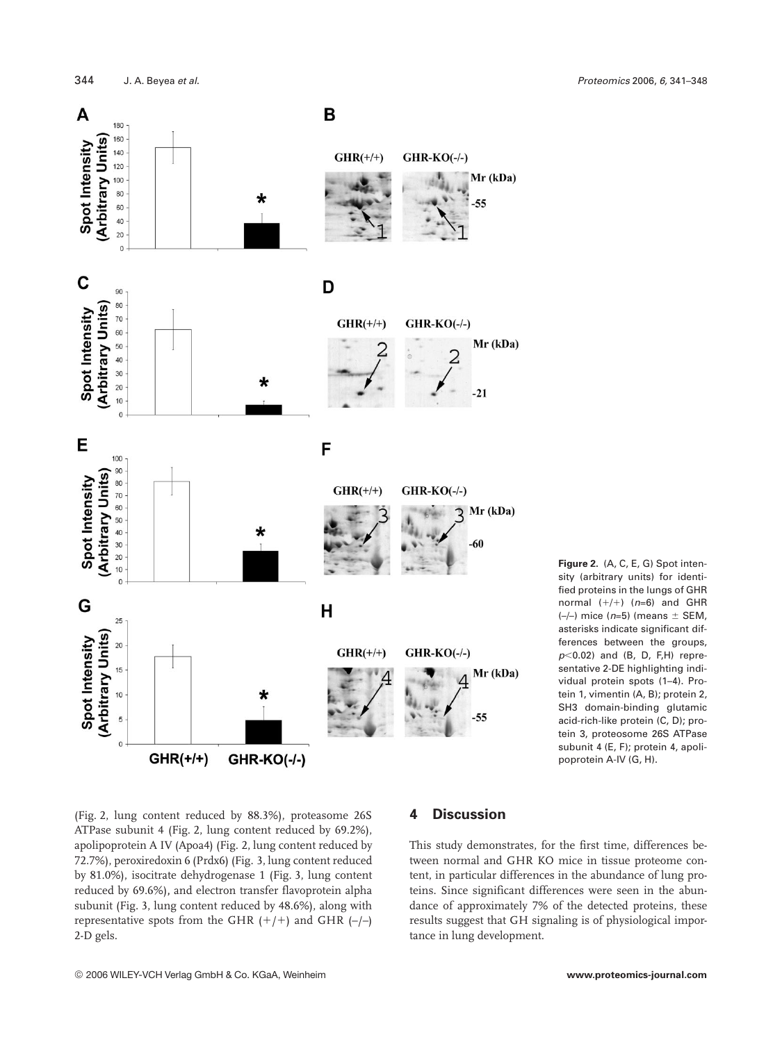

**Figure 2.** (A, C, E, G) Spot intensity (arbitrary units) for identified proteins in the lungs of GHR normal  $(+/+)$   $(n=6)$  and GHR  $(-/-)$  mice  $(n=5)$  (means  $\pm$  SEM, asterisks indicate significant differences between the groups,  $p<0.02$ ) and (B, D, F,H) representative 2-DE highlighting individual protein spots (1–4). Protein 1, vimentin (A, B); protein 2, SH3 domain-binding glutamic acid-rich-like protein (C, D); protein 3, proteosome 26S ATPase subunit 4 (E, F); protein 4, apolipoprotein A-IV (G, H).

(Fig. 2, lung content reduced by 88.3%), proteasome 26S ATPase subunit 4 (Fig. 2, lung content reduced by 69.2%), apolipoprotein A IV (Apoa4) (Fig. 2, lung content reduced by 72.7%), peroxiredoxin 6 (Prdx6) (Fig. 3, lung content reduced by 81.0%), isocitrate dehydrogenase 1 (Fig. 3, lung content reduced by 69.6%)**,** and electron transfer flavoprotein alpha subunit (Fig. 3, lung content reduced by 48.6%), along with representative spots from the GHR  $(+/+)$  and GHR  $(-/-)$ 2-D gels.

# **4 Discussion**

This study demonstrates, for the first time, differences between normal and GHR KO mice in tissue proteome content, in particular differences in the abundance of lung proteins. Since significant differences were seen in the abundance of approximately 7% of the detected proteins, these results suggest that GH signaling is of physiological importance in lung development.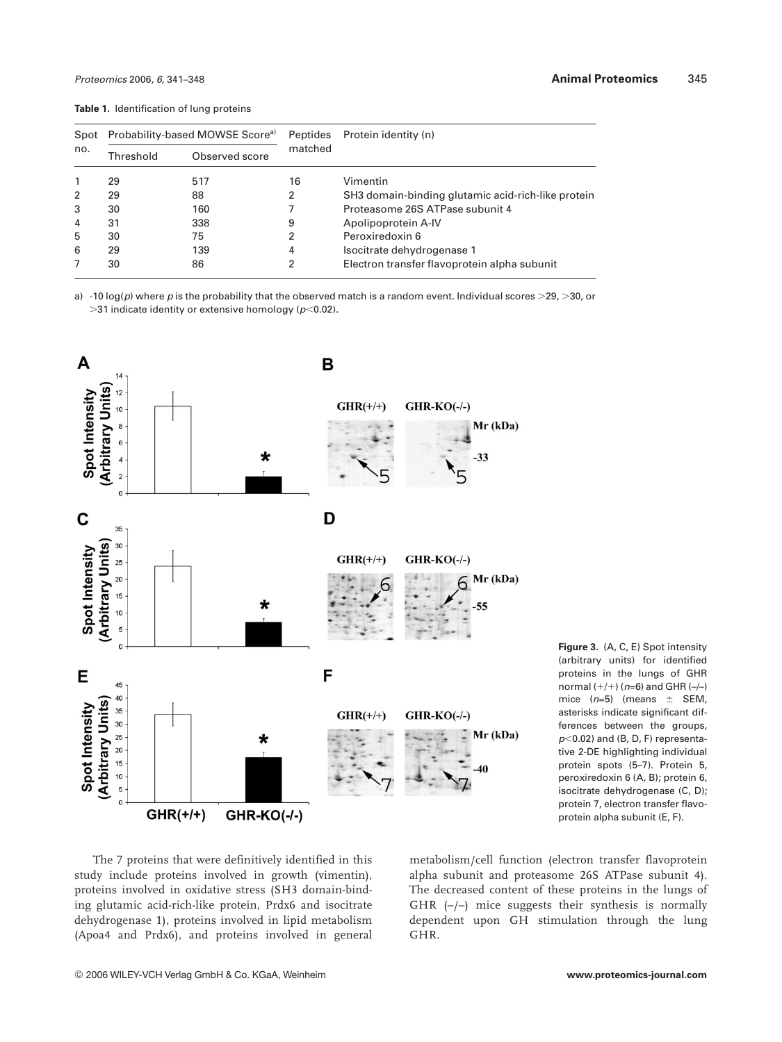**Table 1.** Identification of lung proteins

| Spot<br>no. | Probability-based MOWSE Score <sup>a)</sup> |                | <b>Peptides</b> | Protein identity (n)                               |
|-------------|---------------------------------------------|----------------|-----------------|----------------------------------------------------|
|             | Threshold                                   | Observed score | matched         |                                                    |
| 1           | 29                                          | 517            | 16              | Vimentin                                           |
| 2           | 29                                          | 88             | 2               | SH3 domain-binding glutamic acid-rich-like protein |
| 3           | 30                                          | 160            |                 | Proteasome 26S ATPase subunit 4                    |
| 4           | 31                                          | 338            | 9               | Apolipoprotein A-IV                                |
| 5           | 30                                          | 75             | 2               | Peroxiredoxin 6                                    |
| 6           | 29                                          | 139            | 4               | Isocitrate dehydrogenase 1                         |
|             | 30                                          | 86             | 2               | Electron transfer flavoprotein alpha subunit       |

a) -10 log(p) where p is the probability that the observed match is a random event. Individual scores >29, >30, or  $>$ 31 indicate identity or extensive homology ( $p$ <0.02).



**Figure 3.** (A, C, E) Spot intensity (arbitrary units) for identified proteins in the lungs of GHR normal  $(+/+)$  (n=6) and GHR (-/-) mice  $(n=5)$  (means  $\pm$  SEM, asterisks indicate significant differences between the groups,  $p<0.02$ ) and (B, D, F) representative 2-DE highlighting individual protein spots (5–7). Protein 5, peroxiredoxin 6 (A, B); protein 6, isocitrate dehydrogenase (C, D); protein 7, electron transfer flavoprotein alpha subunit (E, F).

The 7 proteins that were definitively identified in this study include proteins involved in growth (vimentin), proteins involved in oxidative stress (SH3 domain-binding glutamic acid-rich-like protein, Prdx6 and isocitrate dehydrogenase 1), proteins involved in lipid metabolism (Apoa4 and Prdx6), and proteins involved in general metabolism/cell function (electron transfer flavoprotein alpha subunit and proteasome 26S ATPase subunit 4). The decreased content of these proteins in the lungs of GHR  $(-/-)$  mice suggests their synthesis is normally dependent upon GH stimulation through the lung GHR.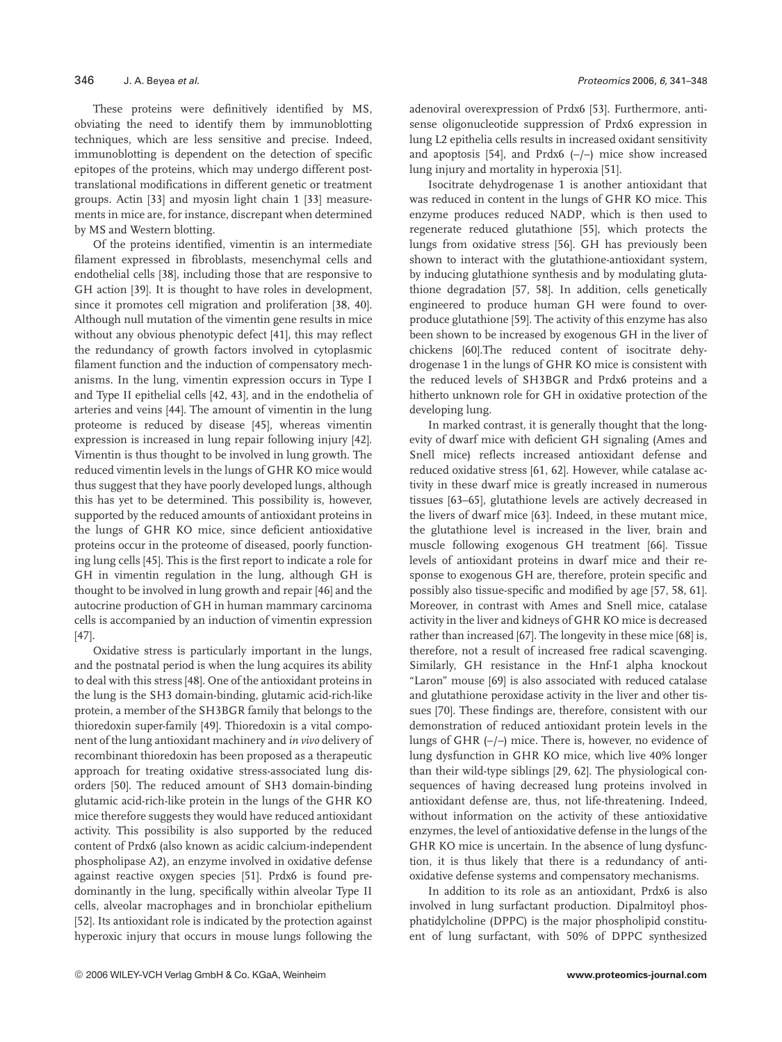These proteins were definitively identified by MS, obviating the need to identify them by immunoblotting techniques, which are less sensitive and precise. Indeed, immunoblotting is dependent on the detection of specific epitopes of the proteins, which may undergo different posttranslational modifications in different genetic or treatment groups. Actin [33] and myosin light chain 1 [33] measurements in mice are, for instance, discrepant when determined by MS and Western blotting.

Of the proteins identified, vimentin is an intermediate filament expressed in fibroblasts, mesenchymal cells and endothelial cells [38], including those that are responsive to GH action [39]. It is thought to have roles in development, since it promotes cell migration and proliferation [38, 40]. Although null mutation of the vimentin gene results in mice without any obvious phenotypic defect [41], this may reflect the redundancy of growth factors involved in cytoplasmic filament function and the induction of compensatory mechanisms. In the lung, vimentin expression occurs in Type I and Type II epithelial cells [42, 43], and in the endothelia of arteries and veins [44]. The amount of vimentin in the lung proteome is reduced by disease [45], whereas vimentin expression is increased in lung repair following injury [42]. Vimentin is thus thought to be involved in lung growth. The reduced vimentin levels in the lungs of GHR KO mice would thus suggest that they have poorly developed lungs, although this has yet to be determined. This possibility is, however, supported by the reduced amounts of antioxidant proteins in the lungs of GHR KO mice, since deficient antioxidative proteins occur in the proteome of diseased, poorly functioning lung cells [45]. This is the first report to indicate a role for GH in vimentin regulation in the lung, although GH is thought to be involved in lung growth and repair [46] and the autocrine production of GH in human mammary carcinoma cells is accompanied by an induction of vimentin expression [47].

Oxidative stress is particularly important in the lungs, and the postnatal period is when the lung acquires its ability to deal with this stress [48]. One of the antioxidant proteins in the lung is the SH3 domain-binding, glutamic acid-rich-like protein, a member of the SH3BGR family that belongs to the thioredoxin super-family [49]. Thioredoxin is a vital component of the lung antioxidant machinery and *in vivo* delivery of recombinant thioredoxin has been proposed as a therapeutic approach for treating oxidative stress-associated lung disorders [50]. The reduced amount of SH3 domain-binding glutamic acid-rich-like protein in the lungs of the GHR KO mice therefore suggests they would have reduced antioxidant activity. This possibility is also supported by the reduced content of Prdx6 (also known as acidic calcium-independent phospholipase A2), an enzyme involved in oxidative defense against reactive oxygen species [51]. Prdx6 is found predominantly in the lung, specifically within alveolar Type II cells, alveolar macrophages and in bronchiolar epithelium [52]. Its antioxidant role is indicated by the protection against hyperoxic injury that occurs in mouse lungs following the adenoviral overexpression of Prdx6 [53]. Furthermore, antisense oligonucleotide suppression of Prdx6 expression in lung L2 epithelia cells results in increased oxidant sensitivity and apoptosis [54], and Prdx6  $(-/-)$  mice show increased lung injury and mortality in hyperoxia [51].

Isocitrate dehydrogenase 1 is another antioxidant that was reduced in content in the lungs of GHR KO mice. This enzyme produces reduced NADP, which is then used to regenerate reduced glutathione [55], which protects the lungs from oxidative stress [56]. GH has previously been shown to interact with the glutathione-antioxidant system, by inducing glutathione synthesis and by modulating glutathione degradation [57, 58]. In addition, cells genetically engineered to produce human GH were found to overproduce glutathione [59]. The activity of this enzyme has also been shown to be increased by exogenous GH in the liver of chickens [60].The reduced content of isocitrate dehydrogenase 1 in the lungs of GHR KO mice is consistent with the reduced levels of SH3BGR and Prdx6 proteins and a hitherto unknown role for GH in oxidative protection of the developing lung.

In marked contrast, it is generally thought that the longevity of dwarf mice with deficient GH signaling (Ames and Snell mice) reflects increased antioxidant defense and reduced oxidative stress [61, 62]. However, while catalase activity in these dwarf mice is greatly increased in numerous tissues [63–65], glutathione levels are actively decreased in the livers of dwarf mice [63]. Indeed, in these mutant mice, the glutathione level is increased in the liver, brain and muscle following exogenous GH treatment [66]. Tissue levels of antioxidant proteins in dwarf mice and their response to exogenous GH are, therefore, protein specific and possibly also tissue-specific and modified by age [57, 58, 61]. Moreover, in contrast with Ames and Snell mice, catalase activity in the liver and kidneys of GHR KO mice is decreased rather than increased [67]. The longevity in these mice [68] is, therefore, not a result of increased free radical scavenging. Similarly, GH resistance in the Hnf-1 alpha knockout "Laron" mouse [69] is also associated with reduced catalase and glutathione peroxidase activity in the liver and other tissues [70]. These findings are, therefore, consistent with our demonstration of reduced antioxidant protein levels in the lungs of GHR  $(-/-)$  mice. There is, however, no evidence of lung dysfunction in GHR KO mice, which live 40% longer than their wild-type siblings [29, 62]. The physiological consequences of having decreased lung proteins involved in antioxidant defense are, thus, not life-threatening. Indeed, without information on the activity of these antioxidative enzymes, the level of antioxidative defense in the lungs of the GHR KO mice is uncertain. In the absence of lung dysfunction, it is thus likely that there is a redundancy of antioxidative defense systems and compensatory mechanisms.

In addition to its role as an antioxidant, Prdx6 is also involved in lung surfactant production. Dipalmitoyl phosphatidylcholine (DPPC) is the major phospholipid constituent of lung surfactant, with 50% of DPPC synthesized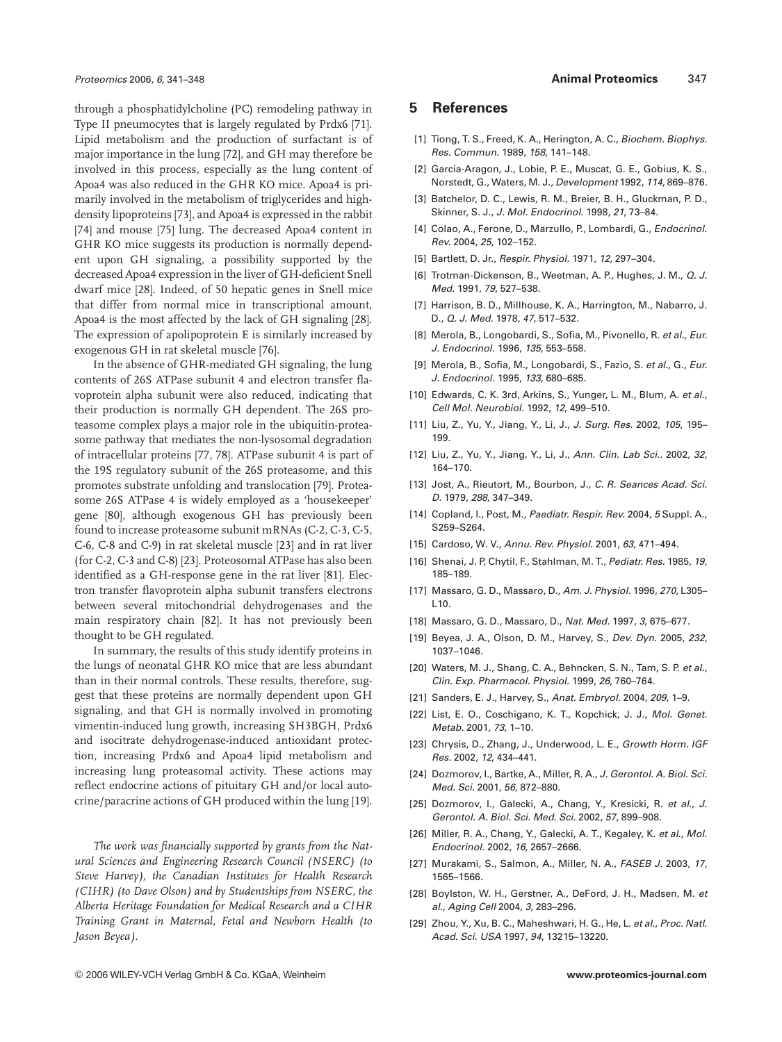through a phosphatidylcholine (PC) remodeling pathway in Type II pneumocytes that is largely regulated by Prdx6 [71]. Lipid metabolism and the production of surfactant is of major importance in the lung [72], and GH may therefore be involved in this process, especially as the lung content of Apoa4 was also reduced in the GHR KO mice. Apoa4 is primarily involved in the metabolism of triglycerides and highdensity lipoproteins [73], and Apoa4 is expressed in the rabbit [74] and mouse [75] lung. The decreased Apoa4 content in GHR KO mice suggests its production is normally dependent upon GH signaling, a possibility supported by the decreased Apoa4 expression in the liver of GH-deficient Snell dwarf mice [28]. Indeed, of 50 hepatic genes in Snell mice that differ from normal mice in transcriptional amount, Apoa4 is the most affected by the lack of GH signaling [28]. The expression of apolipoprotein E is similarly increased by exogenous GH in rat skeletal muscle [76].

In the absence of GHR-mediated GH signaling, the lung contents of 26S ATPase subunit 4 and electron transfer flavoprotein alpha subunit were also reduced, indicating that their production is normally GH dependent. The 26S proteasome complex plays a major role in the ubiquitin-proteasome pathway that mediates the non-lysosomal degradation of intracellular proteins [77, 78]. ATPase subunit 4 is part of the 19S regulatory subunit of the 26S proteasome, and this promotes substrate unfolding and translocation [79]. Proteasome 26S ATPase 4 is widely employed as a 'housekeeper' gene [80], although exogenous GH has previously been found to increase proteasome subunit mRNAs (C-2, C-3, C-5, C-6, C-8 and C-9) in rat skeletal muscle [23] and in rat liver (for C-2, C-3 and C-8) [23]. Proteosomal ATPase has also been identified as a GH-response gene in the rat liver [81]. Electron transfer flavoprotein alpha subunit transfers electrons between several mitochondrial dehydrogenases and the main respiratory chain [82]. It has not previously been thought to be GH regulated.

In summary, the results of this study identify proteins in the lungs of neonatal GHR KO mice that are less abundant than in their normal controls. These results, therefore, suggest that these proteins are normally dependent upon GH signaling, and that GH is normally involved in promoting vimentin-induced lung growth, increasing SH3BGH, Prdx6 and isocitrate dehydrogenase-induced antioxidant protection, increasing Prdx6 and Apoa4 lipid metabolism and increasing lung proteasomal activity. These actions may reflect endocrine actions of pituitary GH and/or local autocrine/paracrine actions of GH produced within the lung [19].

*The work was financially supported by grants from the Natural Sciences and Engineering Research Council (NSERC) (to Steve Harvey), the Canadian Institutes for Health Research (CIHR) (to Dave Olson) and by Studentships from NSERC, the Alberta Heritage Foundation for Medical Research and a CIHR Training Grant in Maternal, Fetal and Newborn Health (to Jason Beyea).*

#### **5 References**

- [1] Tiong, T. S., Freed, K. A., Herington, A. C., Biochem. Biophys. Res. Commun. 1989, 158, 141–148.
- [2] Garcia-Aragon, J., Lobie, P. E., Muscat, G. E., Gobius, K. S., Norstedt, G., Waters, M. J., Development 1992, 114, 869–876.
- [3] Batchelor, D. C., Lewis, R. M., Breier, B. H., Gluckman, P. D., Skinner, S. J., J. Mol. Endocrinol. 1998, 21, 73–84.
- [4] Colao, A., Ferone, D., Marzullo, P., Lombardi, G., Endocrinol. Rev. 2004, 25, 102–152.
- [5] Bartlett, D. Jr., Respir. Physiol. 1971, 12, 297–304.
- [6] Trotman-Dickenson, B., Weetman, A. P., Hughes, J. M., Q. J. Med. 1991, 79, 527–538.
- [7] Harrison, B. D., Millhouse, K. A., Harrington, M., Nabarro, J. D., Q. J. Med. 1978, 47, 517–532.
- [8] Merola, B., Longobardi, S., Sofia, M., Pivonello, R. et al., Eur. J. Endocrinol. 1996, 135, 553–558.
- [9] Merola, B., Sofia, M., Longobardi, S., Fazio, S. et al., G., Eur. J. Endocrinol. 1995, 133, 680–685.
- [10] Edwards, C. K. 3rd, Arkins, S., Yunger, L. M., Blum, A. et al., Cell Mol. Neurobiol. 1992, 12, 499–510.
- [11] Liu, Z., Yu, Y., Jiang, Y., Li, J., J. Surg. Res. 2002, 105, 195– 199.
- [12] Liu, Z., Yu, Y., Jiang, Y., Li, J., Ann. Clin. Lab Sci.. 2002, 32, 164–170.
- [13] Jost, A., Rieutort, M., Bourbon, J., C. R. Seances Acad. Sci. D. 1979, 288, 347–349.
- [14] Copland, I., Post, M., Paediatr. Respir. Rev. 2004, 5 Suppl. A., S259–S264.
- [15] Cardoso, W. V., Annu. Rev. Physiol. 2001, 63, 471–494.
- [16] Shenai, J. P, Chytil, F., Stahlman, M. T., Pediatr. Res. 1985, 19, 185–189.
- [17] Massaro, G. D., Massaro, D., Am. J. Physiol. 1996, 270, L305–  $110.$
- [18] Massaro, G. D., Massaro, D., Nat. Med. 1997, 3, 675–677.
- [19] Beyea, J. A., Olson, D. M., Harvey, S., Dev. Dyn. 2005, 232, 1037–1046.
- [20] Waters, M. J., Shang, C. A., Behncken, S. N., Tam, S. P. et al., Clin. Exp. Pharmacol. Physiol. 1999, 26, 760–764.
- [21] Sanders, E. J., Harvey, S., Anat. Embryol. 2004, 209, 1-9.
- [22] List, E. O., Coschigano, K. T., Kopchick, J. J., Mol. Genet. Metab. 2001, 73, 1–10.
- [23] Chrysis, D., Zhang, J., Underwood, L. E., Growth Horm. IGF Res. 2002, 12, 434–441.
- [24] Dozmorov, I., Bartke, A., Miller, R. A., J. Gerontol. A. Biol. Sci. Med. Sci. 2001, 56, 872–880.
- [25] Dozmorov, I., Galecki, A., Chang, Y., Kresicki, R. et al., J. Gerontol. A. Biol. Sci. Med. Sci. 2002, 57, 899–908.
- [26] Miller, R. A., Chang, Y., Galecki, A. T., Kegaley, K. et al., Mol. Endocrinol. 2002, 16, 2657–2666.
- [27] Murakami, S., Salmon, A., Miller, N. A., FASEB J. 2003, 17, 1565–1566.
- [28] Boylston, W. H., Gerstner, A., DeFord, J. H., Madsen, M. et al., Aging Cell 2004, 3, 283–296.
- [29] Zhou, Y., Xu, B. C., Maheshwari, H. G., He, L. et al., Proc. Natl. Acad. Sci. USA 1997, 94, 13215–13220.